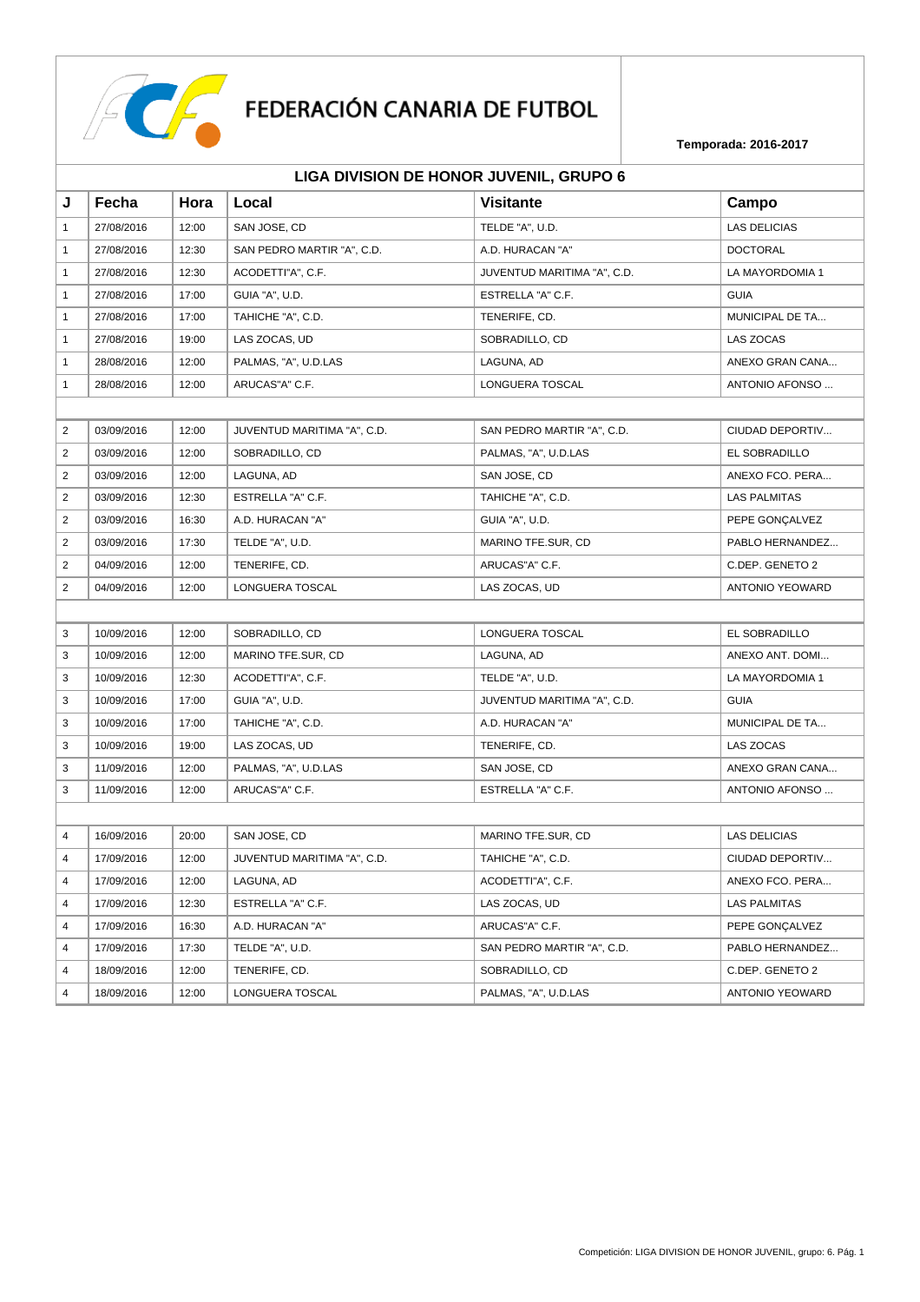

| J              | Fecha      | Hora  | Local                       | <b>Visitante</b>            | Campo                  |
|----------------|------------|-------|-----------------------------|-----------------------------|------------------------|
| $\mathbf{1}$   | 27/08/2016 | 12:00 | SAN JOSE, CD                | TELDE "A", U.D.             | <b>LAS DELICIAS</b>    |
| $\mathbf{1}$   | 27/08/2016 | 12:30 | SAN PEDRO MARTIR "A", C.D.  | A.D. HURACAN "A"            | <b>DOCTORAL</b>        |
| $\mathbf{1}$   | 27/08/2016 | 12:30 | ACODETTI"A", C.F.           | JUVENTUD MARITIMA "A", C.D. | LA MAYORDOMIA 1        |
| $\mathbf{1}$   | 27/08/2016 | 17:00 | GUIA "A", U.D.              | ESTRELLA "A" C.F.           | <b>GUIA</b>            |
| $\mathbf{1}$   | 27/08/2016 | 17:00 | TAHICHE "A", C.D.           | TENERIFE, CD.               | MUNICIPAL DE TA        |
| $\mathbf{1}$   | 27/08/2016 | 19:00 | LAS ZOCAS, UD               | SOBRADILLO, CD              | LAS ZOCAS              |
| $\mathbf{1}$   | 28/08/2016 | 12:00 | PALMAS, "A", U.D.LAS        | LAGUNA, AD                  | ANEXO GRAN CANA        |
| $\mathbf{1}$   | 28/08/2016 | 12:00 | ARUCAS"A" C.F.              | LONGUERA TOSCAL             | ANTONIO AFONSO         |
|                |            |       |                             |                             |                        |
| $\overline{2}$ | 03/09/2016 | 12:00 | JUVENTUD MARITIMA "A", C.D. | SAN PEDRO MARTIR "A", C.D.  | CIUDAD DEPORTIV        |
| $\overline{2}$ | 03/09/2016 | 12:00 | SOBRADILLO, CD              | PALMAS, "A", U.D.LAS        | EL SOBRADILLO          |
| $\overline{2}$ | 03/09/2016 | 12:00 | LAGUNA, AD                  | SAN JOSE, CD                | ANEXO FCO. PERA        |
| $\overline{2}$ | 03/09/2016 | 12:30 | ESTRELLA "A" C.F.           | TAHICHE "A", C.D.           | <b>LAS PALMITAS</b>    |
| $\overline{2}$ | 03/09/2016 | 16:30 | A.D. HURACAN "A"            | GUIA "A", U.D.              | PEPE GONÇALVEZ         |
| $\overline{2}$ | 03/09/2016 | 17:30 | TELDE "A", U.D.             | MARINO TFE.SUR, CD          | PABLO HERNANDEZ        |
| 2              | 04/09/2016 | 12:00 | TENERIFE, CD.               | ARUCAS"A" C.F.              | C.DEP. GENETO 2        |
| $\overline{2}$ | 04/09/2016 | 12:00 | LONGUERA TOSCAL             | LAS ZOCAS, UD               | ANTONIO YEOWARD        |
|                |            |       |                             |                             |                        |
| 3              | 10/09/2016 | 12:00 | SOBRADILLO, CD              | LONGUERA TOSCAL             | EL SOBRADILLO          |
| 3              | 10/09/2016 | 12:00 | MARINO TFE.SUR, CD          | LAGUNA, AD                  | ANEXO ANT. DOMI        |
| 3              | 10/09/2016 | 12:30 | ACODETTI"A", C.F.           | TELDE "A", U.D.             | LA MAYORDOMIA 1        |
| 3              | 10/09/2016 | 17:00 | GUIA "A", U.D.              | JUVENTUD MARITIMA "A", C.D. | <b>GUIA</b>            |
| 3              | 10/09/2016 | 17:00 | TAHICHE "A", C.D.           | A.D. HURACAN "A"            | MUNICIPAL DE TA        |
| 3              | 10/09/2016 | 19:00 | LAS ZOCAS, UD               | TENERIFE, CD.               | LAS ZOCAS              |
| 3              | 11/09/2016 | 12:00 | PALMAS, "A", U.D.LAS        | SAN JOSE, CD                | ANEXO GRAN CANA        |
| 3              | 11/09/2016 | 12:00 | ARUCAS"A" C.F.              | ESTRELLA "A" C.F.           | ANTONIO AFONSO         |
|                |            |       |                             |                             |                        |
| 4              | 16/09/2016 | 20:00 | SAN JOSE, CD                | MARINO TFE.SUR, CD          | <b>LAS DELICIAS</b>    |
| $\overline{4}$ | 17/09/2016 | 12:00 | JUVENTUD MARITIMA "A", C.D. | TAHICHE "A", C.D.           | CIUDAD DEPORTIV        |
|                | 17/09/2016 | 12:00 | LAGUNA, AD                  | ACODETTI"A", C.F.           | ANEXO FCO. PERA        |
| 4              | 17/09/2016 | 12:30 | ESTRELLA "A" C.F.           | LAS ZOCAS, UD               | <b>LAS PALMITAS</b>    |
| 4              | 17/09/2016 | 16:30 | A.D. HURACAN "A"            | ARUCAS"A" C.F.              | PEPE GONÇALVEZ         |
| 4              | 17/09/2016 | 17:30 | TELDE "A", U.D.             | SAN PEDRO MARTIR "A", C.D.  | PABLO HERNANDEZ        |
| 4              | 18/09/2016 | 12:00 | TENERIFE, CD.               | SOBRADILLO, CD              | C.DEP. GENETO 2        |
| 4              | 18/09/2016 | 12:00 | <b>LONGUERA TOSCAL</b>      | PALMAS, "A", U.D.LAS        | <b>ANTONIO YEOWARD</b> |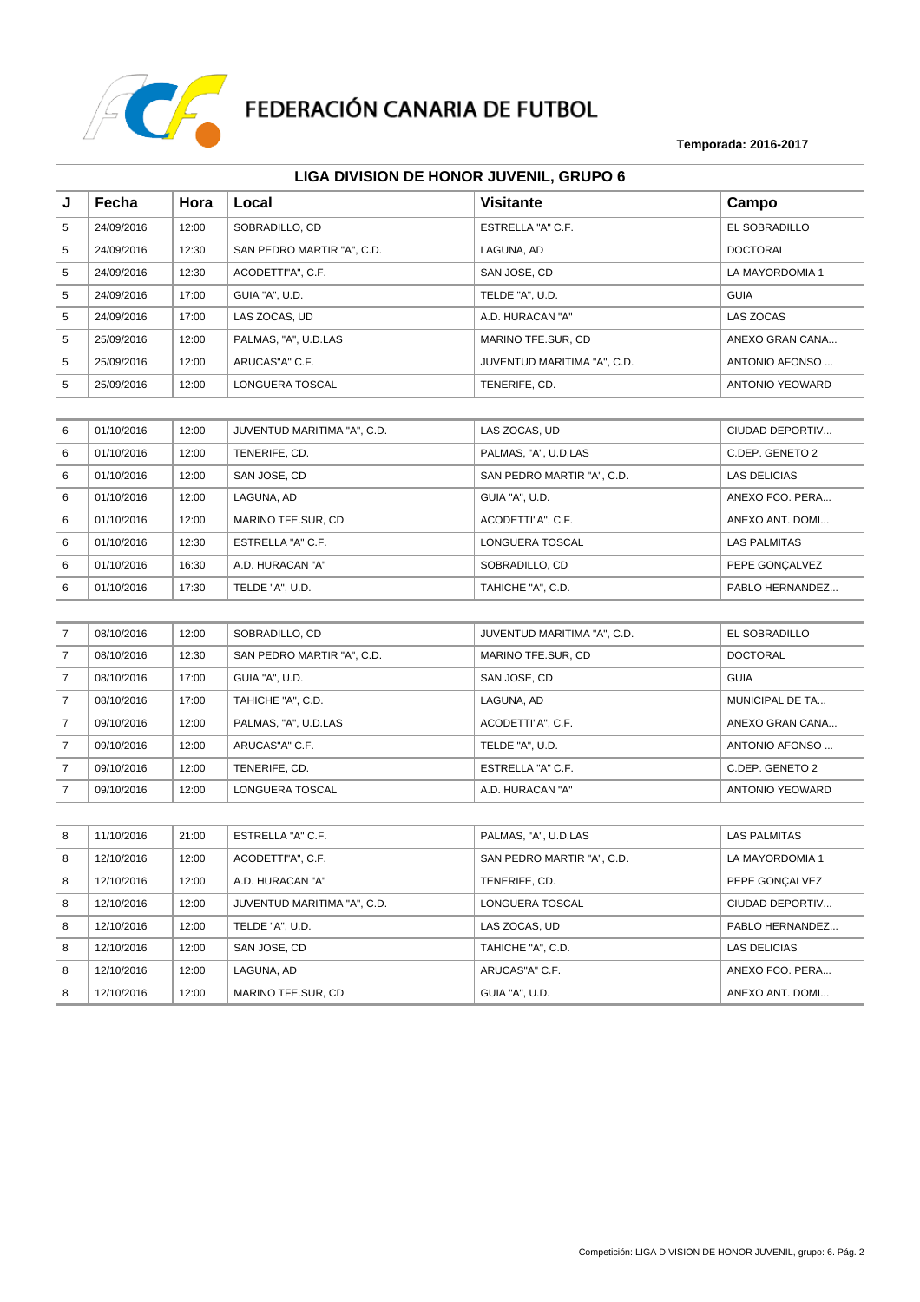

| J              | Fecha      | Hora  | Local                       | <b>Visitante</b>            | Campo                  |
|----------------|------------|-------|-----------------------------|-----------------------------|------------------------|
| 5              | 24/09/2016 | 12:00 | SOBRADILLO, CD              | ESTRELLA "A" C.F.           | EL SOBRADILLO          |
| 5              | 24/09/2016 | 12:30 | SAN PEDRO MARTIR "A", C.D.  | LAGUNA, AD                  | <b>DOCTORAL</b>        |
| 5              | 24/09/2016 | 12:30 | ACODETTI"A", C.F.           | SAN JOSE, CD                | LA MAYORDOMIA 1        |
| 5              | 24/09/2016 | 17:00 | GUIA "A", U.D.              | TELDE "A", U.D.             | <b>GUIA</b>            |
| 5              | 24/09/2016 | 17:00 | LAS ZOCAS, UD               | A.D. HURACAN "A"            | LAS ZOCAS              |
| 5              | 25/09/2016 | 12:00 | PALMAS, "A", U.D.LAS        | MARINO TFE.SUR. CD          | ANEXO GRAN CANA        |
| 5              | 25/09/2016 | 12:00 | ARUCAS"A" C.F.              | JUVENTUD MARITIMA "A", C.D. | ANTONIO AFONSO         |
| 5              | 25/09/2016 | 12:00 | <b>LONGUERA TOSCAL</b>      | TENERIFE, CD.               | ANTONIO YEOWARD        |
|                |            |       |                             |                             |                        |
| 6              | 01/10/2016 | 12:00 | JUVENTUD MARITIMA "A", C.D. | LAS ZOCAS, UD               | CIUDAD DEPORTIV        |
| 6              | 01/10/2016 | 12:00 | TENERIFE, CD.               | PALMAS, "A", U.D.LAS        | C.DEP. GENETO 2        |
| 6              | 01/10/2016 | 12:00 | SAN JOSE, CD                | SAN PEDRO MARTIR "A", C.D.  | LAS DELICIAS           |
| 6              | 01/10/2016 | 12:00 | LAGUNA, AD                  | GUIA "A", U.D.              | ANEXO FCO. PERA        |
| 6              | 01/10/2016 | 12:00 | MARINO TFE.SUR, CD          | ACODETTI"A", C.F.           | ANEXO ANT. DOMI        |
| 6              | 01/10/2016 | 12:30 | ESTRELLA "A" C.F.           | LONGUERA TOSCAL             | <b>LAS PALMITAS</b>    |
| 6              | 01/10/2016 | 16:30 | A.D. HURACAN "A"            | SOBRADILLO, CD              | PEPE GONÇALVEZ         |
| 6              | 01/10/2016 | 17:30 | TELDE "A", U.D.             | TAHICHE "A", C.D.           | PABLO HERNANDEZ        |
|                |            |       |                             |                             |                        |
| $\overline{7}$ | 08/10/2016 | 12:00 | SOBRADILLO, CD              | JUVENTUD MARITIMA "A", C.D. | EL SOBRADILLO          |
| $\overline{7}$ | 08/10/2016 | 12:30 | SAN PEDRO MARTIR "A", C.D.  | MARINO TFE.SUR, CD          | <b>DOCTORAL</b>        |
| $\overline{7}$ | 08/10/2016 | 17:00 | GUIA "A", U.D.              | SAN JOSE, CD                | <b>GUIA</b>            |
| $\overline{7}$ | 08/10/2016 | 17:00 | TAHICHE "A", C.D.           | LAGUNA, AD                  | MUNICIPAL DE TA        |
| $\overline{7}$ | 09/10/2016 | 12:00 | PALMAS, "A", U.D.LAS        | ACODETTI"A", C.F.           | ANEXO GRAN CANA        |
| $\overline{7}$ | 09/10/2016 | 12:00 | ARUCAS"A" C.F.              | TELDE "A", U.D.             | ANTONIO AFONSO         |
| $\overline{7}$ | 09/10/2016 | 12:00 | TENERIFE, CD.               | ESTRELLA "A" C.F.           | C.DEP. GENETO 2        |
| $\overline{7}$ | 09/10/2016 | 12:00 | <b>LONGUERA TOSCAL</b>      | A.D. HURACAN "A"            | <b>ANTONIO YEOWARD</b> |
|                |            |       |                             |                             |                        |
| 8              | 11/10/2016 | 21:00 | ESTRELLA "A" C.F.           | PALMAS, "A", U.D.LAS        | <b>LAS PALMITAS</b>    |
| 8              | 12/10/2016 | 12:00 | ACODETTI"A", C.F.           | SAN PEDRO MARTIR "A", C.D.  | LA MAYORDOMIA 1        |
| 8              | 12/10/2016 | 12:00 | A.D. HURACAN "A"            | TENERIFE, CD.               | PEPE GONÇALVEZ         |
| 8              | 12/10/2016 | 12:00 | JUVENTUD MARITIMA "A", C.D. | LONGUERA TOSCAL             | CIUDAD DEPORTIV        |
| 8              | 12/10/2016 | 12:00 | TELDE "A", U.D.             | LAS ZOCAS, UD               | PABLO HERNANDEZ        |
| 8              | 12/10/2016 | 12:00 | SAN JOSE, CD                | TAHICHE "A", C.D.           | LAS DELICIAS           |
| 8              | 12/10/2016 | 12:00 | LAGUNA, AD                  | ARUCAS"A" C.F.              | ANEXO FCO. PERA        |
| 8              | 12/10/2016 | 12:00 | MARINO TFE.SUR, CD          | GUIA "A", U.D.              | ANEXO ANT. DOMI        |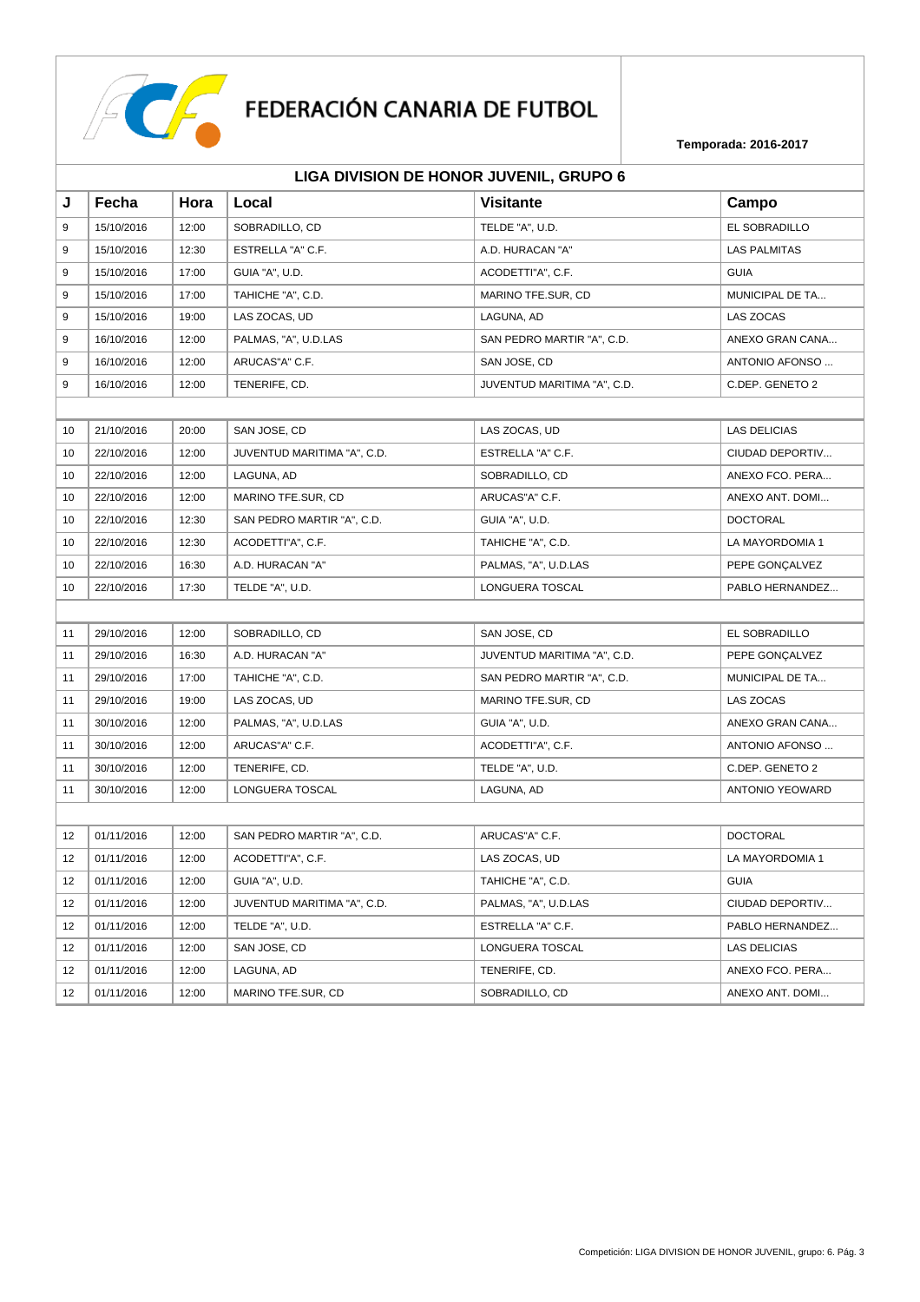

| J  | Fecha      | Hora  | Local                       | <b>Visitante</b>            | Campo                  |
|----|------------|-------|-----------------------------|-----------------------------|------------------------|
| 9  | 15/10/2016 | 12:00 | SOBRADILLO, CD              | TELDE "A", U.D.             | EL SOBRADILLO          |
| 9  | 15/10/2016 | 12:30 | ESTRELLA "A" C.F.           | A.D. HURACAN "A"            | <b>LAS PALMITAS</b>    |
| 9  | 15/10/2016 | 17:00 | GUIA "A", U.D.              | ACODETTI"A", C.F.           | <b>GUIA</b>            |
| 9  | 15/10/2016 | 17:00 | TAHICHE "A", C.D.           | MARINO TFE.SUR, CD          | MUNICIPAL DE TA        |
| 9  | 15/10/2016 | 19:00 | LAS ZOCAS, UD               | LAGUNA, AD                  | LAS ZOCAS              |
| 9  | 16/10/2016 | 12:00 | PALMAS, "A", U.D.LAS        | SAN PEDRO MARTIR "A", C.D.  | ANEXO GRAN CANA        |
| 9  | 16/10/2016 | 12:00 | ARUCAS"A" C.F.              | SAN JOSE, CD                | ANTONIO AFONSO         |
| 9  | 16/10/2016 | 12:00 | TENERIFE, CD.               | JUVENTUD MARITIMA "A", C.D. | C.DEP. GENETO 2        |
|    |            |       |                             |                             |                        |
| 10 | 21/10/2016 | 20:00 | SAN JOSE, CD                | LAS ZOCAS, UD               | <b>LAS DELICIAS</b>    |
| 10 | 22/10/2016 | 12:00 | JUVENTUD MARITIMA "A", C.D. | ESTRELLA "A" C.F.           | CIUDAD DEPORTIV        |
| 10 | 22/10/2016 | 12:00 | LAGUNA, AD                  | SOBRADILLO, CD              | ANEXO FCO. PERA        |
| 10 | 22/10/2016 | 12:00 | MARINO TFE.SUR, CD          | ARUCAS"A" C.F.              | ANEXO ANT. DOMI        |
| 10 | 22/10/2016 | 12:30 | SAN PEDRO MARTIR "A", C.D.  | GUIA "A", U.D.              | <b>DOCTORAL</b>        |
| 10 | 22/10/2016 | 12:30 | ACODETTI"A", C.F.           | TAHICHE "A", C.D.           | LA MAYORDOMIA 1        |
| 10 | 22/10/2016 | 16:30 | A.D. HURACAN "A"            | PALMAS, "A", U.D.LAS        | PEPE GONÇALVEZ         |
| 10 | 22/10/2016 | 17:30 | TELDE "A", U.D.             | LONGUERA TOSCAL             | PABLO HERNANDEZ        |
|    |            |       |                             |                             |                        |
| 11 | 29/10/2016 | 12:00 | SOBRADILLO, CD              | SAN JOSE, CD                | EL SOBRADILLO          |
| 11 | 29/10/2016 | 16:30 | A.D. HURACAN "A"            | JUVENTUD MARITIMA "A", C.D. | PEPE GONÇALVEZ         |
| 11 | 29/10/2016 | 17:00 | TAHICHE "A", C.D.           | SAN PEDRO MARTIR "A", C.D.  | MUNICIPAL DE TA        |
| 11 | 29/10/2016 | 19:00 | LAS ZOCAS, UD               | MARINO TFE.SUR, CD          | LAS ZOCAS              |
| 11 | 30/10/2016 | 12:00 | PALMAS, "A", U.D.LAS        | GUIA "A", U.D.              | ANEXO GRAN CANA        |
| 11 | 30/10/2016 | 12:00 | ARUCAS"A" C.F.              | ACODETTI"A", C.F.           | ANTONIO AFONSO         |
| 11 | 30/10/2016 | 12:00 | TENERIFE, CD.               | TELDE "A", U.D.             | C.DEP. GENETO 2        |
| 11 | 30/10/2016 | 12:00 | LONGUERA TOSCAL             | LAGUNA, AD                  | <b>ANTONIO YEOWARD</b> |
|    |            |       |                             |                             |                        |
| 12 | 01/11/2016 | 12:00 | SAN PEDRO MARTIR "A", C.D.  | ARUCAS"A" C.F.              | <b>DOCTORAL</b>        |
| 12 | 01/11/2016 | 12:00 | ACODETTI"A", C.F.           | LAS ZOCAS, UD               | LA MAYORDOMIA 1        |
| 12 | 01/11/2016 | 12:00 | $\vert$ GUIA "A", U.D.      | TAHICHE "A", C.D.           | <b>GUIA</b>            |
| 12 | 01/11/2016 | 12:00 | JUVENTUD MARITIMA "A", C.D. | PALMAS, "A", U.D.LAS        | CIUDAD DEPORTIV        |
| 12 | 01/11/2016 | 12:00 | TELDE "A", U.D.             | ESTRELLA "A" C.F.           | PABLO HERNANDEZ        |
| 12 | 01/11/2016 | 12:00 | SAN JOSE, CD                | LONGUERA TOSCAL             | LAS DELICIAS           |
| 12 | 01/11/2016 | 12:00 | LAGUNA, AD                  | TENERIFE, CD.               | ANEXO FCO. PERA        |
| 12 | 01/11/2016 | 12:00 | MARINO TFE.SUR, CD          | SOBRADILLO, CD              | ANEXO ANT. DOMI        |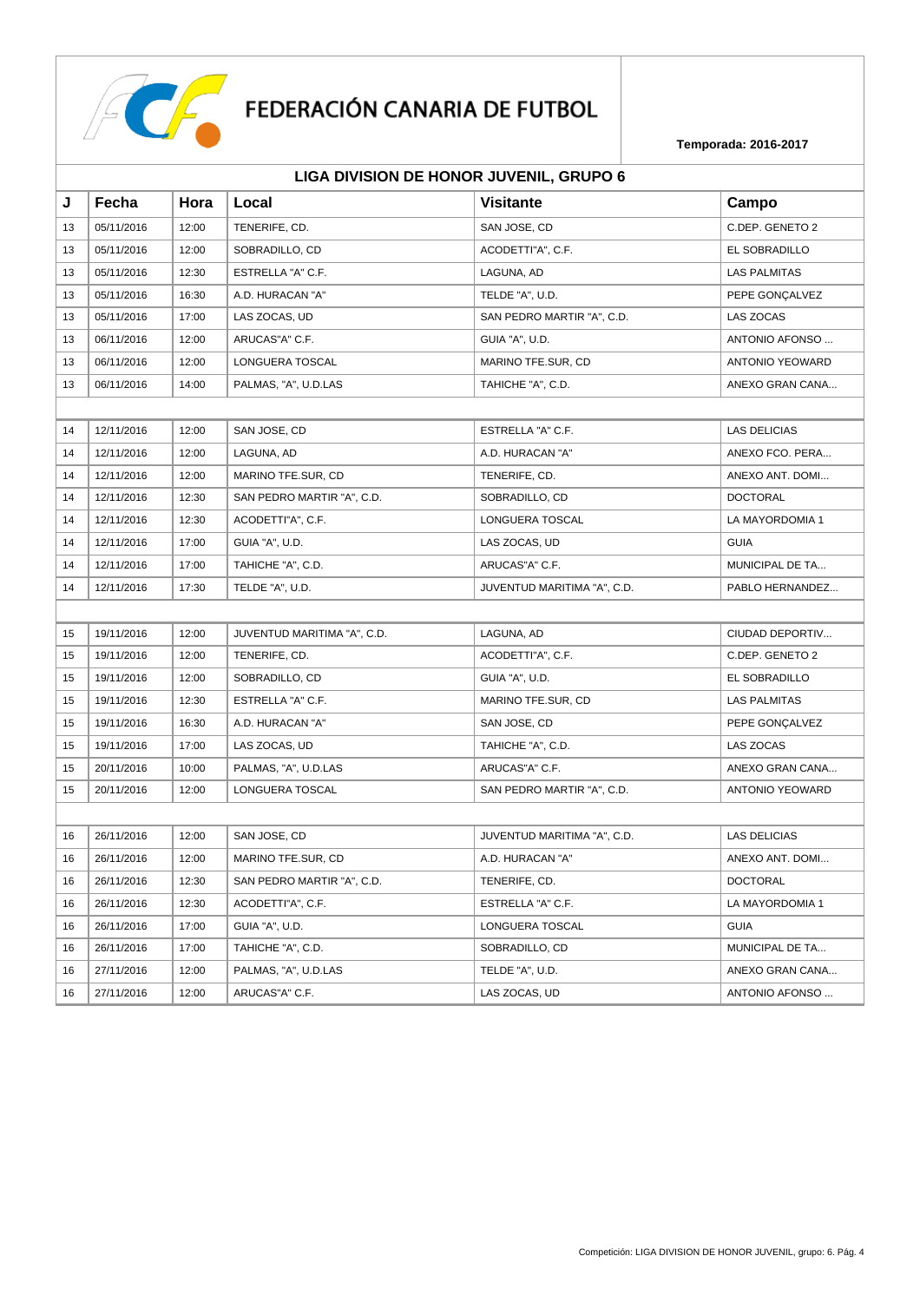

| J  | Fecha      | Hora  | Local                       | <b>Visitante</b>            | Campo                  |
|----|------------|-------|-----------------------------|-----------------------------|------------------------|
| 13 | 05/11/2016 | 12:00 | TENERIFE, CD.               | SAN JOSE, CD                | C.DEP. GENETO 2        |
| 13 | 05/11/2016 | 12:00 | SOBRADILLO, CD              | ACODETTI"A", C.F.           | EL SOBRADILLO          |
| 13 | 05/11/2016 | 12:30 | ESTRELLA "A" C.F.           | LAGUNA, AD                  | <b>LAS PALMITAS</b>    |
| 13 | 05/11/2016 | 16:30 | A.D. HURACAN "A"            | TELDE "A", U.D.             | PEPE GONÇALVEZ         |
| 13 | 05/11/2016 | 17:00 | LAS ZOCAS, UD               | SAN PEDRO MARTIR "A", C.D.  | LAS ZOCAS              |
| 13 | 06/11/2016 | 12:00 | ARUCAS"A" C.F.              | GUIA "A", U.D.              | ANTONIO AFONSO         |
| 13 | 06/11/2016 | 12:00 | LONGUERA TOSCAL             | MARINO TFE.SUR, CD          | <b>ANTONIO YEOWARD</b> |
| 13 | 06/11/2016 | 14:00 | PALMAS, "A", U.D.LAS        | TAHICHE "A", C.D.           | ANEXO GRAN CANA        |
|    |            |       |                             |                             |                        |
| 14 | 12/11/2016 | 12:00 | SAN JOSE, CD                | ESTRELLA "A" C.F.           | <b>LAS DELICIAS</b>    |
| 14 | 12/11/2016 | 12:00 | LAGUNA, AD                  | A.D. HURACAN "A"            | ANEXO FCO. PERA        |
| 14 | 12/11/2016 | 12:00 | MARINO TFE.SUR, CD          | TENERIFE, CD.               | ANEXO ANT. DOMI        |
| 14 | 12/11/2016 | 12:30 | SAN PEDRO MARTIR "A", C.D.  | SOBRADILLO, CD              | <b>DOCTORAL</b>        |
| 14 | 12/11/2016 | 12:30 | ACODETTI"A", C.F.           | LONGUERA TOSCAL             | LA MAYORDOMIA 1        |
| 14 | 12/11/2016 | 17:00 | GUIA "A", U.D.              | LAS ZOCAS, UD               | <b>GUIA</b>            |
| 14 | 12/11/2016 | 17:00 | TAHICHE "A", C.D.           | ARUCAS"A" C.F.              | MUNICIPAL DE TA        |
| 14 | 12/11/2016 | 17:30 | TELDE "A", U.D.             | JUVENTUD MARITIMA "A", C.D. | PABLO HERNANDEZ        |
|    |            |       |                             |                             |                        |
| 15 | 19/11/2016 | 12:00 | JUVENTUD MARITIMA "A", C.D. | LAGUNA, AD                  | CIUDAD DEPORTIV        |
| 15 | 19/11/2016 | 12:00 | TENERIFE, CD.               | ACODETTI"A", C.F.           | C.DEP. GENETO 2        |
| 15 | 19/11/2016 | 12:00 | SOBRADILLO, CD              | GUIA "A", U.D.              | EL SOBRADILLO          |
| 15 | 19/11/2016 | 12:30 | ESTRELLA "A" C.F.           | MARINO TFE.SUR, CD          | <b>LAS PALMITAS</b>    |
| 15 | 19/11/2016 | 16:30 | A.D. HURACAN "A"            | SAN JOSE, CD                | PEPE GONÇALVEZ         |
| 15 | 19/11/2016 | 17:00 | LAS ZOCAS, UD               | TAHICHE "A", C.D.           | LAS ZOCAS              |
| 15 | 20/11/2016 | 10:00 | PALMAS, "A", U.D.LAS        | ARUCAS"A" C.F.              | ANEXO GRAN CANA        |
| 15 | 20/11/2016 | 12:00 | LONGUERA TOSCAL             | SAN PEDRO MARTIR "A", C.D.  | <b>ANTONIO YEOWARD</b> |
|    |            |       |                             |                             |                        |
| 16 | 26/11/2016 | 12:00 | SAN JOSE, CD                | JUVENTUD MARITIMA "A", C.D. | <b>LAS DELICIAS</b>    |
| 16 | 26/11/2016 | 12:00 | MARINO TFE.SUR, CD          | A.D. HURACAN "A"            | ANEXO ANT. DOMI        |
| 16 | 26/11/2016 | 12:30 | SAN PEDRO MARTIR "A", C.D.  | TENERIFE, CD.               | <b>DOCTORAL</b>        |
| 16 | 26/11/2016 | 12:30 | ACODETTI"A", C.F.           | ESTRELLA "A" C.F.           | LA MAYORDOMIA 1        |
| 16 | 26/11/2016 | 17:00 | GUIA "A", U.D.              | LONGUERA TOSCAL             | <b>GUIA</b>            |
| 16 | 26/11/2016 | 17:00 | TAHICHE "A", C.D.           | SOBRADILLO, CD              | MUNICIPAL DE TA        |
| 16 | 27/11/2016 | 12:00 | PALMAS, "A", U.D.LAS        | TELDE "A", U.D.             | ANEXO GRAN CANA        |
| 16 | 27/11/2016 | 12:00 | ARUCAS"A" C.F.              | LAS ZOCAS, UD               | ANTONIO AFONSO         |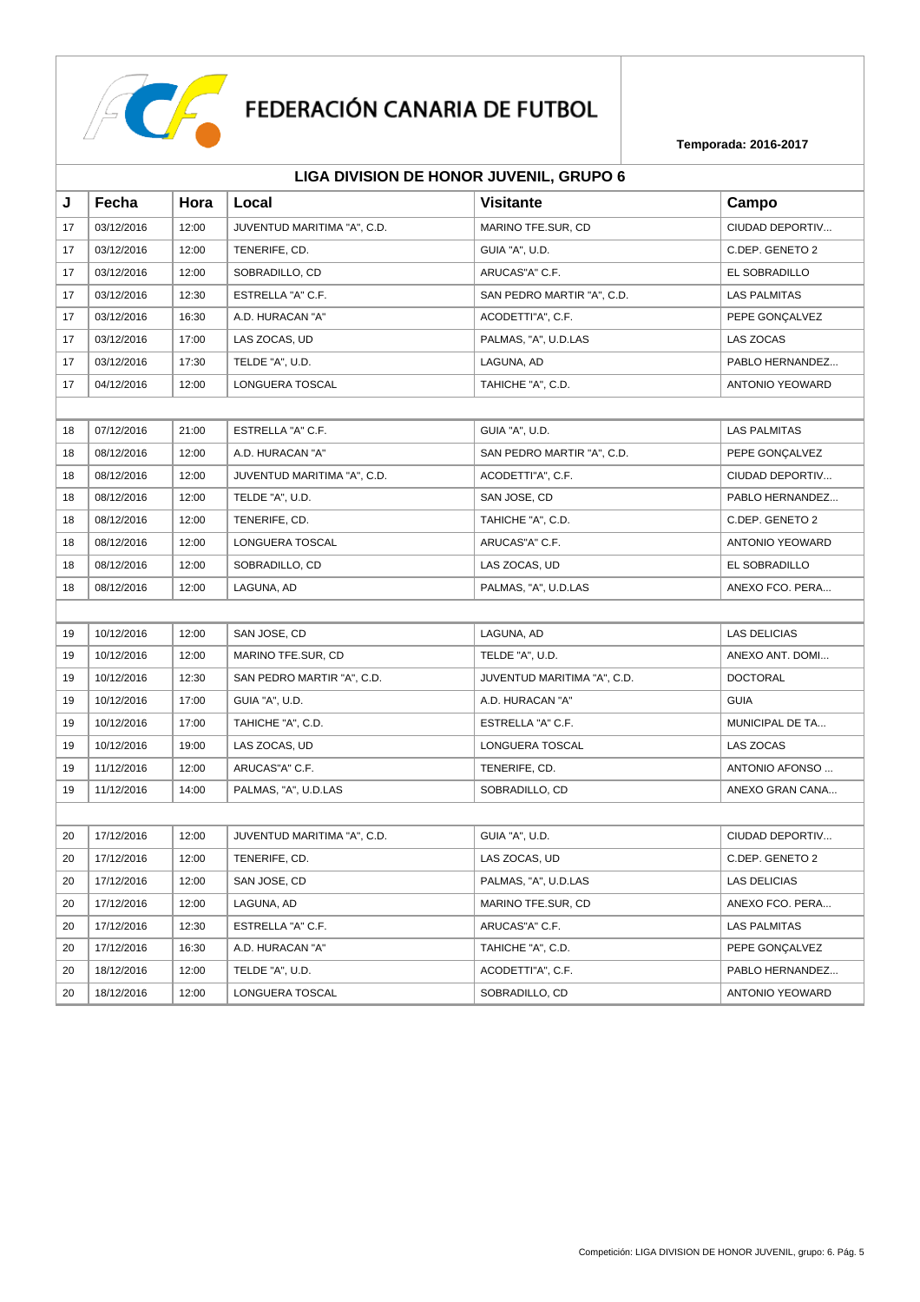

| J  | Fecha      | Hora  | Local                       | <b>Visitante</b>            | Campo               |
|----|------------|-------|-----------------------------|-----------------------------|---------------------|
| 17 | 03/12/2016 | 12:00 | JUVENTUD MARITIMA "A", C.D. | MARINO TFE.SUR, CD          | CIUDAD DEPORTIV     |
| 17 | 03/12/2016 | 12:00 | TENERIFE, CD.               | GUIA "A", U.D.              | C.DEP. GENETO 2     |
| 17 | 03/12/2016 | 12:00 | SOBRADILLO, CD              | ARUCAS"A" C.F.              | EL SOBRADILLO       |
| 17 | 03/12/2016 | 12:30 | ESTRELLA "A" C.F.           | SAN PEDRO MARTIR "A", C.D.  | <b>LAS PALMITAS</b> |
| 17 | 03/12/2016 | 16:30 | A.D. HURACAN "A"            | ACODETTI"A", C.F.           | PEPE GONÇALVEZ      |
| 17 | 03/12/2016 | 17:00 | LAS ZOCAS, UD               | PALMAS, "A", U.D.LAS        | <b>LAS ZOCAS</b>    |
| 17 | 03/12/2016 | 17:30 | TELDE "A", U.D.             | LAGUNA, AD                  | PABLO HERNANDEZ     |
| 17 | 04/12/2016 | 12:00 | <b>LONGUERA TOSCAL</b>      | TAHICHE "A", C.D.           | ANTONIO YEOWARD     |
|    |            |       |                             |                             |                     |
| 18 | 07/12/2016 | 21:00 | ESTRELLA "A" C.F.           | GUIA "A", U.D.              | <b>LAS PALMITAS</b> |
| 18 | 08/12/2016 | 12:00 | A.D. HURACAN "A"            | SAN PEDRO MARTIR "A", C.D.  | PEPE GONÇALVEZ      |
| 18 | 08/12/2016 | 12:00 | JUVENTUD MARITIMA "A", C.D. | ACODETTI"A", C.F.           | CIUDAD DEPORTIV     |
| 18 | 08/12/2016 | 12:00 | TELDE "A", U.D.             | SAN JOSE, CD                | PABLO HERNANDEZ     |
| 18 | 08/12/2016 | 12:00 | TENERIFE, CD.               | TAHICHE "A", C.D.           | C.DEP. GENETO 2     |
| 18 | 08/12/2016 | 12:00 | LONGUERA TOSCAL             | ARUCAS"A" C.F.              | ANTONIO YEOWARD     |
| 18 | 08/12/2016 | 12:00 | SOBRADILLO, CD              | LAS ZOCAS, UD               | EL SOBRADILLO       |
| 18 | 08/12/2016 | 12:00 | LAGUNA, AD                  | PALMAS, "A", U.D.LAS        | ANEXO FCO. PERA     |
|    |            |       |                             |                             |                     |
| 19 | 10/12/2016 | 12:00 | SAN JOSE, CD                | LAGUNA, AD                  | <b>LAS DELICIAS</b> |
| 19 | 10/12/2016 | 12:00 | MARINO TFE.SUR, CD          | TELDE "A", U.D.             | ANEXO ANT. DOMI     |
| 19 | 10/12/2016 | 12:30 | SAN PEDRO MARTIR "A", C.D.  | JUVENTUD MARITIMA "A", C.D. | <b>DOCTORAL</b>     |
| 19 | 10/12/2016 | 17:00 | GUIA "A", U.D.              | A.D. HURACAN "A"            | <b>GUIA</b>         |
| 19 | 10/12/2016 | 17:00 | TAHICHE "A", C.D.           | ESTRELLA "A" C.F.           | MUNICIPAL DE TA     |
| 19 | 10/12/2016 | 19:00 | LAS ZOCAS, UD               | LONGUERA TOSCAL             | LAS ZOCAS           |
| 19 | 11/12/2016 | 12:00 | ARUCAS"A" C.F.              | TENERIFE, CD.               | ANTONIO AFONSO      |
| 19 | 11/12/2016 | 14:00 | PALMAS, "A", U.D.LAS        | SOBRADILLO, CD              | ANEXO GRAN CANA     |
|    |            |       |                             |                             |                     |
| 20 | 17/12/2016 | 12:00 | JUVENTUD MARITIMA "A", C.D. | GUIA "A", U.D.              | CIUDAD DEPORTIV     |
| 20 | 17/12/2016 | 12:00 | TENERIFE, CD.               | LAS ZOCAS, UD               | C.DEP. GENETO 2     |
| 20 | 17/12/2016 | 12:00 | SAN JOSE, CD                | PALMAS, "A", U.D.LAS        | <b>LAS DELICIAS</b> |
| 20 | 17/12/2016 | 12:00 | LAGUNA, AD                  | MARINO TFE.SUR, CD          | ANEXO FCO. PERA     |
| 20 | 17/12/2016 | 12:30 | ESTRELLA "A" C.F.           | ARUCAS"A" C.F.              | <b>LAS PALMITAS</b> |
| 20 | 17/12/2016 | 16:30 | A.D. HURACAN "A"            | TAHICHE "A", C.D.           | PEPE GONCALVEZ      |
| 20 | 18/12/2016 | 12:00 | TELDE "A", U.D.             | ACODETTI"A", C.F.           | PABLO HERNANDEZ     |
| 20 | 18/12/2016 | 12:00 | LONGUERA TOSCAL             | SOBRADILLO, CD              | ANTONIO YEOWARD     |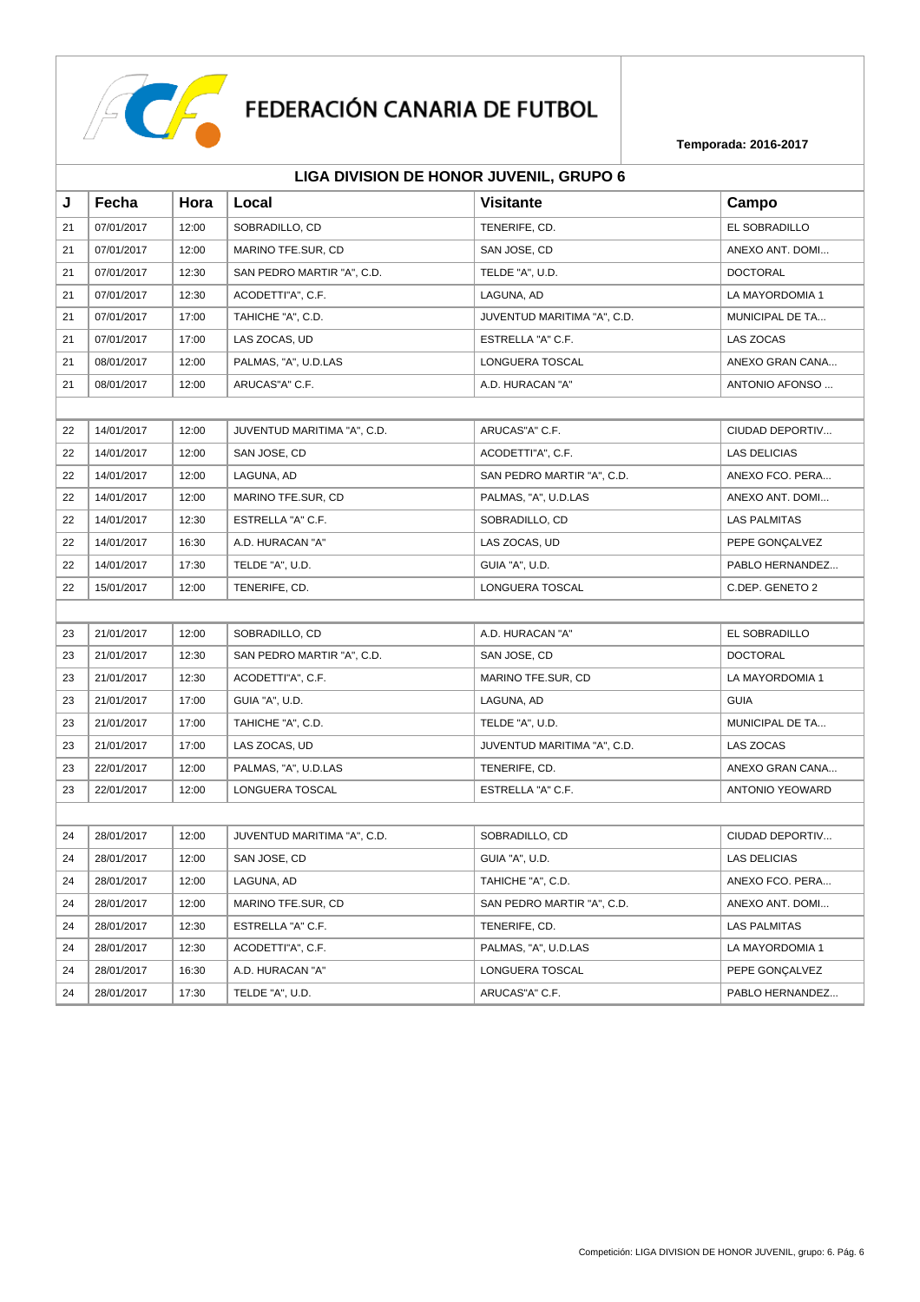

| J  | Fecha      | Hora  | Local                       | <b>Visitante</b>            | Campo               |
|----|------------|-------|-----------------------------|-----------------------------|---------------------|
| 21 | 07/01/2017 | 12:00 | SOBRADILLO, CD              | TENERIFE, CD.               | EL SOBRADILLO       |
| 21 | 07/01/2017 | 12:00 | MARINO TFE.SUR, CD          | SAN JOSE, CD                | ANEXO ANT. DOMI     |
| 21 | 07/01/2017 | 12:30 | SAN PEDRO MARTIR "A", C.D.  | TELDE "A", U.D.             | <b>DOCTORAL</b>     |
| 21 | 07/01/2017 | 12:30 | ACODETTI"A", C.F.           | LAGUNA, AD                  | LA MAYORDOMIA 1     |
| 21 | 07/01/2017 | 17:00 | TAHICHE "A", C.D.           | JUVENTUD MARITIMA "A", C.D. | MUNICIPAL DE TA     |
| 21 | 07/01/2017 | 17:00 | LAS ZOCAS, UD               | ESTRELLA "A" C.F.           | LAS ZOCAS           |
| 21 | 08/01/2017 | 12:00 | PALMAS, "A", U.D.LAS        | LONGUERA TOSCAL             | ANEXO GRAN CANA     |
| 21 | 08/01/2017 | 12:00 | ARUCAS"A" C.F.              | A.D. HURACAN "A"            | ANTONIO AFONSO      |
|    |            |       |                             |                             |                     |
| 22 | 14/01/2017 | 12:00 | JUVENTUD MARITIMA "A", C.D. | ARUCAS"A" C.F.              | CIUDAD DEPORTIV     |
| 22 | 14/01/2017 | 12:00 | SAN JOSE, CD                | ACODETTI"A", C.F.           | <b>LAS DELICIAS</b> |
| 22 | 14/01/2017 | 12:00 | LAGUNA, AD                  | SAN PEDRO MARTIR "A", C.D.  | ANEXO FCO. PERA     |
| 22 | 14/01/2017 | 12:00 | MARINO TFE.SUR, CD          | PALMAS, "A", U.D.LAS        | ANEXO ANT. DOMI     |
| 22 | 14/01/2017 | 12:30 | ESTRELLA "A" C.F.           | SOBRADILLO, CD              | <b>LAS PALMITAS</b> |
| 22 | 14/01/2017 | 16:30 | A.D. HURACAN "A"            | LAS ZOCAS, UD               | PEPE GONÇALVEZ      |
| 22 | 14/01/2017 | 17:30 | TELDE "A", U.D.             | GUIA "A", U.D.              | PABLO HERNANDEZ     |
| 22 | 15/01/2017 | 12:00 | TENERIFE, CD.               | LONGUERA TOSCAL             | C.DEP. GENETO 2     |
|    |            |       |                             |                             |                     |
| 23 | 21/01/2017 | 12:00 | SOBRADILLO, CD              | A.D. HURACAN "A"            | EL SOBRADILLO       |
| 23 | 21/01/2017 | 12:30 | SAN PEDRO MARTIR "A", C.D.  | SAN JOSE, CD                | <b>DOCTORAL</b>     |
| 23 | 21/01/2017 | 12:30 | ACODETTI"A", C.F.           | MARINO TFE.SUR, CD          | LA MAYORDOMIA 1     |
| 23 | 21/01/2017 | 17:00 | GUIA "A", U.D.              | LAGUNA, AD                  | <b>GUIA</b>         |
| 23 | 21/01/2017 | 17:00 | TAHICHE "A", C.D.           | TELDE "A", U.D.             | MUNICIPAL DE TA     |
| 23 | 21/01/2017 | 17:00 | LAS ZOCAS, UD               | JUVENTUD MARITIMA "A", C.D. | LAS ZOCAS           |
| 23 | 22/01/2017 | 12:00 | PALMAS, "A", U.D.LAS        | TENERIFE, CD.               | ANEXO GRAN CANA     |
| 23 | 22/01/2017 | 12:00 | LONGUERA TOSCAL             | ESTRELLA "A" C.F.           | ANTONIO YEOWARD     |
|    |            |       |                             |                             |                     |
| 24 | 28/01/2017 | 12:00 | JUVENTUD MARITIMA "A", C.D. | SOBRADILLO, CD              | CIUDAD DEPORTIV     |
| 24 | 28/01/2017 | 12:00 | SAN JOSE, CD                | GUIA "A", U.D.              | <b>LAS DELICIAS</b> |
| 24 | 28/01/2017 | 12:00 | LAGUNA, AD                  | TAHICHE "A", C.D.           | ANEXO FCO. PERA     |
| 24 | 28/01/2017 | 12:00 | MARINO TFE.SUR, CD          | SAN PEDRO MARTIR "A", C.D.  | ANEXO ANT. DOMI     |
| 24 | 28/01/2017 | 12:30 | ESTRELLA "A" C.F.           | TENERIFE, CD.               | <b>LAS PALMITAS</b> |
| 24 | 28/01/2017 | 12:30 | ACODETTI"A", C.F.           | PALMAS, "A", U.D.LAS        | LA MAYORDOMIA 1     |
| 24 | 28/01/2017 | 16:30 | A.D. HURACAN "A"            | LONGUERA TOSCAL             | PEPE GONCALVEZ      |
| 24 | 28/01/2017 | 17:30 | TELDE "A", U.D.             | ARUCAS"A" C.F.              | PABLO HERNANDEZ     |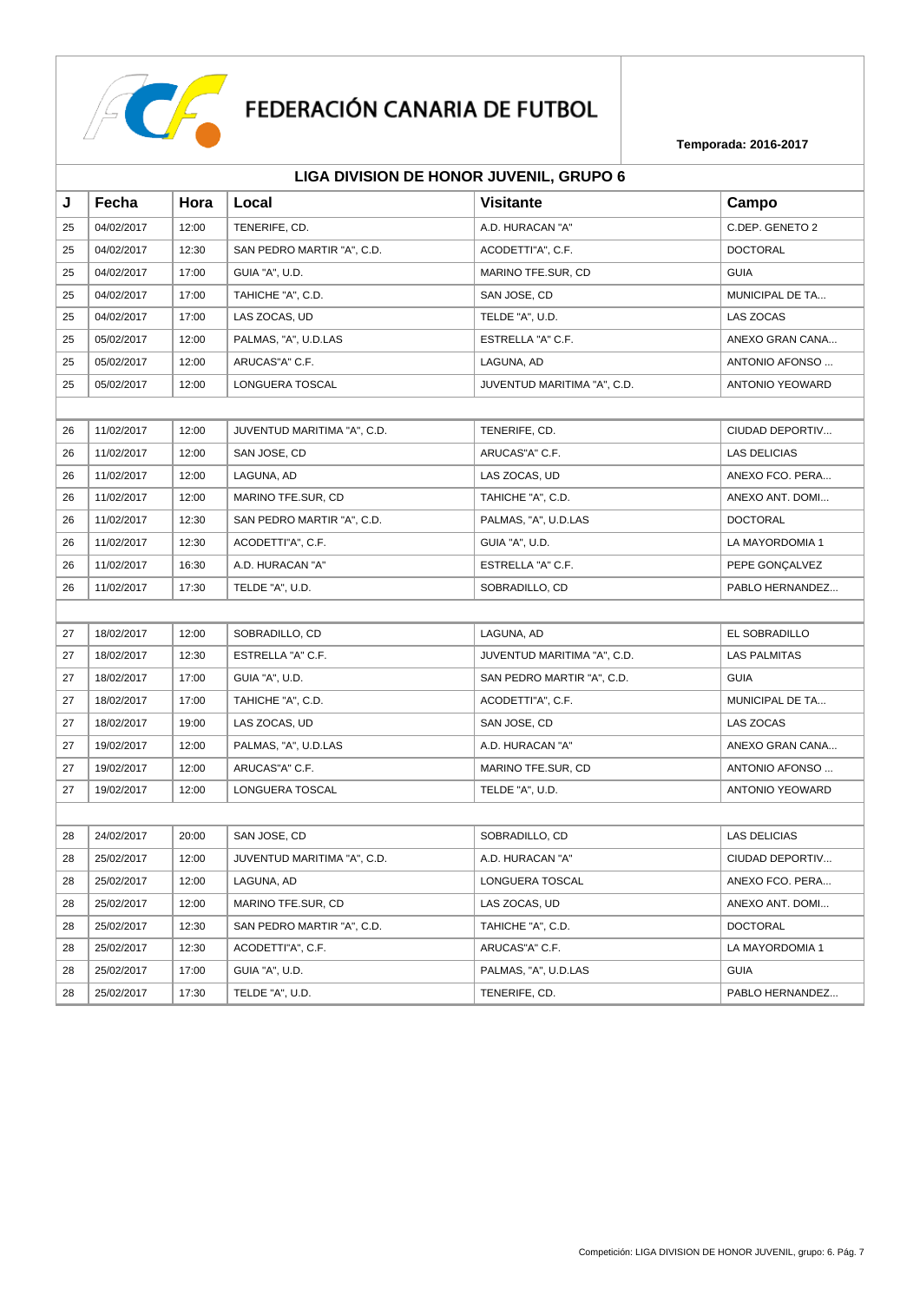

| J  | Fecha      | Hora  | Local                       | <b>Visitante</b>            | Campo               |
|----|------------|-------|-----------------------------|-----------------------------|---------------------|
| 25 | 04/02/2017 | 12:00 | TENERIFE, CD.               | A.D. HURACAN "A"            | C.DEP. GENETO 2     |
| 25 | 04/02/2017 | 12:30 | SAN PEDRO MARTIR "A", C.D.  | ACODETTI"A", C.F.           | <b>DOCTORAL</b>     |
| 25 | 04/02/2017 | 17:00 | GUIA "A", U.D.              | MARINO TFE.SUR. CD          | <b>GUIA</b>         |
| 25 | 04/02/2017 | 17:00 | TAHICHE "A", C.D.           | SAN JOSE, CD                | MUNICIPAL DE TA     |
| 25 | 04/02/2017 | 17:00 | LAS ZOCAS, UD               | TELDE "A", U.D.             | LAS ZOCAS           |
| 25 | 05/02/2017 | 12:00 | PALMAS, "A", U.D.LAS        | ESTRELLA "A" C.F.           | ANEXO GRAN CANA     |
| 25 | 05/02/2017 | 12:00 | ARUCAS"A" C.F.              | LAGUNA, AD                  | ANTONIO AFONSO      |
| 25 | 05/02/2017 | 12:00 | LONGUERA TOSCAL             | JUVENTUD MARITIMA "A", C.D. | ANTONIO YEOWARD     |
|    |            |       |                             |                             |                     |
| 26 | 11/02/2017 | 12:00 | JUVENTUD MARITIMA "A", C.D. | TENERIFE, CD.               | CIUDAD DEPORTIV     |
| 26 | 11/02/2017 | 12:00 | SAN JOSE, CD                | ARUCAS"A" C.F.              | <b>LAS DELICIAS</b> |
| 26 | 11/02/2017 | 12:00 | LAGUNA, AD                  | LAS ZOCAS, UD               | ANEXO FCO. PERA     |
| 26 | 11/02/2017 | 12:00 | MARINO TFE.SUR, CD          | TAHICHE "A", C.D.           | ANEXO ANT. DOMI     |
| 26 | 11/02/2017 | 12:30 | SAN PEDRO MARTIR "A", C.D.  | PALMAS, "A", U.D.LAS        | <b>DOCTORAL</b>     |
| 26 | 11/02/2017 | 12:30 | ACODETTI"A", C.F.           | GUIA "A", U.D.              | LA MAYORDOMIA 1     |
| 26 | 11/02/2017 | 16:30 | A.D. HURACAN "A"            | ESTRELLA "A" C.F.           | PEPE GONÇALVEZ      |
| 26 | 11/02/2017 | 17:30 | TELDE "A", U.D.             | SOBRADILLO, CD              | PABLO HERNANDEZ     |
|    |            |       |                             |                             |                     |
| 27 | 18/02/2017 | 12:00 | SOBRADILLO, CD              | LAGUNA, AD                  | EL SOBRADILLO       |
| 27 | 18/02/2017 | 12:30 | ESTRELLA "A" C.F.           | JUVENTUD MARITIMA "A", C.D. | <b>LAS PALMITAS</b> |
| 27 | 18/02/2017 | 17:00 | GUIA "A", U.D.              | SAN PEDRO MARTIR "A", C.D.  | <b>GUIA</b>         |
| 27 | 18/02/2017 | 17:00 | TAHICHE "A", C.D.           | ACODETTI"A", C.F.           | MUNICIPAL DE TA     |
| 27 | 18/02/2017 | 19:00 | LAS ZOCAS, UD               | SAN JOSE, CD                | LAS ZOCAS           |
| 27 | 19/02/2017 | 12:00 | PALMAS, "A", U.D.LAS        | A.D. HURACAN "A"            | ANEXO GRAN CANA     |
| 27 | 19/02/2017 | 12:00 | ARUCAS"A" C.F.              | MARINO TFE.SUR, CD          | ANTONIO AFONSO      |
| 27 | 19/02/2017 | 12:00 | LONGUERA TOSCAL             | TELDE "A", U.D.             | ANTONIO YEOWARD     |
|    |            |       |                             |                             |                     |
| 28 | 24/02/2017 | 20:00 | SAN JOSE, CD                | SOBRADILLO, CD              | <b>LAS DELICIAS</b> |
| 28 | 25/02/2017 | 12:00 | JUVENTUD MARITIMA "A", C.D. | A.D. HURACAN "A"            | CIUDAD DEPORTIV     |
| 28 | 25/02/2017 | 12:00 | LAGUNA, AD                  | LONGUERA TOSCAL             | ANEXO FCO. PERA     |
| 28 | 25/02/2017 | 12:00 | MARINO TFE.SUR, CD          | LAS ZOCAS, UD               | ANEXO ANT. DOMI     |
| 28 | 25/02/2017 | 12:30 | SAN PEDRO MARTIR "A", C.D.  | TAHICHE "A", C.D.           | <b>DOCTORAL</b>     |
| 28 | 25/02/2017 | 12:30 | ACODETTI"A", C.F.           | ARUCAS"A" C.F.              | LA MAYORDOMIA 1     |
| 28 | 25/02/2017 | 17:00 | GUIA "A", U.D.              | PALMAS, "A", U.D.LAS        | <b>GUIA</b>         |
| 28 | 25/02/2017 | 17:30 | TELDE "A", U.D.             | TENERIFE, CD.               | PABLO HERNANDEZ     |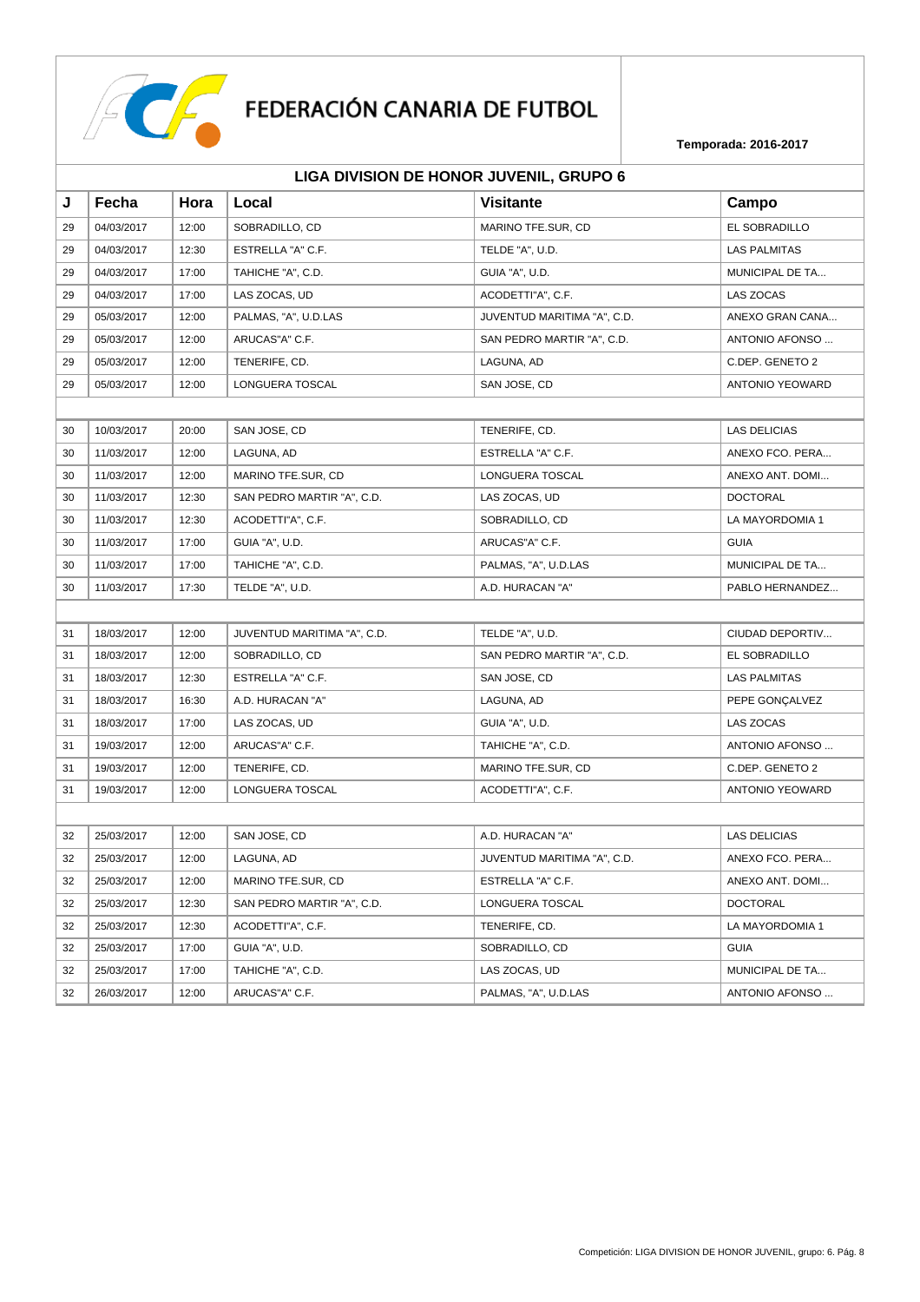

| J  | Fecha      | Hora  | Local                       | <b>Visitante</b>            | Campo               |
|----|------------|-------|-----------------------------|-----------------------------|---------------------|
| 29 | 04/03/2017 | 12:00 | SOBRADILLO, CD              | MARINO TFE.SUR, CD          | EL SOBRADILLO       |
| 29 | 04/03/2017 | 12:30 | ESTRELLA "A" C.F.           | TELDE "A", U.D.             | <b>LAS PALMITAS</b> |
| 29 | 04/03/2017 | 17:00 | TAHICHE "A", C.D.           | GUIA "A", U.D.              | MUNICIPAL DE TA     |
| 29 | 04/03/2017 | 17:00 | LAS ZOCAS, UD               | ACODETTI"A", C.F.           | LAS ZOCAS           |
| 29 | 05/03/2017 | 12:00 | PALMAS, "A", U.D.LAS        | JUVENTUD MARITIMA "A", C.D. | ANEXO GRAN CANA     |
| 29 | 05/03/2017 | 12:00 | ARUCAS"A" C.F.              | SAN PEDRO MARTIR "A", C.D.  | ANTONIO AFONSO      |
| 29 | 05/03/2017 | 12:00 | TENERIFE, CD.               | LAGUNA, AD                  | C.DEP. GENETO 2     |
| 29 | 05/03/2017 | 12:00 | <b>LONGUERA TOSCAL</b>      | SAN JOSE, CD                | ANTONIO YEOWARD     |
|    |            |       |                             |                             |                     |
| 30 | 10/03/2017 | 20:00 | SAN JOSE, CD                | TENERIFE, CD.               | <b>LAS DELICIAS</b> |
| 30 | 11/03/2017 | 12:00 | LAGUNA, AD                  | ESTRELLA "A" C.F.           | ANEXO FCO. PERA     |
| 30 | 11/03/2017 | 12:00 | MARINO TFE.SUR, CD          | LONGUERA TOSCAL             | ANEXO ANT. DOMI     |
| 30 | 11/03/2017 | 12:30 | SAN PEDRO MARTIR "A", C.D.  | LAS ZOCAS, UD               | <b>DOCTORAL</b>     |
| 30 | 11/03/2017 | 12:30 | ACODETTI"A", C.F.           | SOBRADILLO, CD              | LA MAYORDOMIA 1     |
| 30 | 11/03/2017 | 17:00 | GUIA "A", U.D.              | ARUCAS"A" C.F.              | <b>GUIA</b>         |
| 30 | 11/03/2017 | 17:00 | TAHICHE "A", C.D.           | PALMAS, "A", U.D.LAS        | MUNICIPAL DE TA     |
| 30 | 11/03/2017 | 17:30 | TELDE "A", U.D.             | A.D. HURACAN "A"            | PABLO HERNANDEZ     |
|    |            |       |                             |                             |                     |
| 31 | 18/03/2017 | 12:00 | JUVENTUD MARITIMA "A", C.D. | TELDE "A", U.D.             | CIUDAD DEPORTIV     |
| 31 | 18/03/2017 | 12:00 | SOBRADILLO, CD              | SAN PEDRO MARTIR "A", C.D.  | EL SOBRADILLO       |
| 31 | 18/03/2017 | 12:30 | ESTRELLA "A" C.F.           | SAN JOSE, CD                | <b>LAS PALMITAS</b> |
| 31 | 18/03/2017 | 16:30 | A.D. HURACAN "A"            | LAGUNA, AD                  | PEPE GONÇALVEZ      |
| 31 | 18/03/2017 | 17:00 | LAS ZOCAS, UD               | GUIA "A", U.D.              | <b>LAS ZOCAS</b>    |
| 31 | 19/03/2017 | 12:00 | ARUCAS"A" C.F.              | TAHICHE "A", C.D.           | ANTONIO AFONSO      |
| 31 | 19/03/2017 | 12:00 | TENERIFE, CD.               | MARINO TFE.SUR, CD          | C.DEP. GENETO 2     |
| 31 | 19/03/2017 | 12:00 | LONGUERA TOSCAL             | ACODETTI"A", C.F.           | ANTONIO YEOWARD     |
|    |            |       |                             |                             |                     |
| 32 | 25/03/2017 | 12:00 | SAN JOSE, CD                | A.D. HURACAN "A"            | <b>LAS DELICIAS</b> |
| 32 | 25/03/2017 | 12:00 | LAGUNA, AD                  | JUVENTUD MARITIMA "A", C.D. | ANEXO FCO. PERA     |
| 32 | 25/03/2017 | 12:00 | MARINO TFE.SUR, CD          | ESTRELLA "A" C.F.           | ANEXO ANT. DOMI     |
| 32 | 25/03/2017 | 12:30 | SAN PEDRO MARTIR "A", C.D.  | <b>LONGUERA TOSCAL</b>      | <b>DOCTORAL</b>     |
| 32 | 25/03/2017 | 12:30 | ACODETTI"A", C.F.           | TENERIFE, CD.               | LA MAYORDOMIA 1     |
| 32 | 25/03/2017 | 17:00 | GUIA "A", U.D.              | SOBRADILLO, CD              | <b>GUIA</b>         |
| 32 | 25/03/2017 | 17:00 | TAHICHE "A", C.D.           | LAS ZOCAS, UD               | MUNICIPAL DE TA     |
| 32 | 26/03/2017 | 12:00 | ARUCAS"A" C.F.              | PALMAS, "A", U.D.LAS        | ANTONIO AFONSO      |